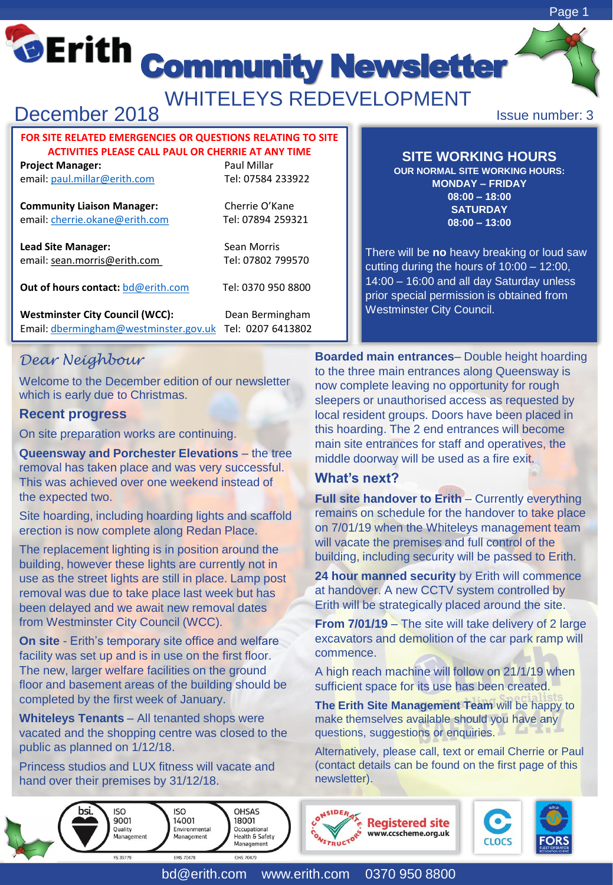# **Community Newsletter**

WHITELEYS REDEVELOPMENT

# December 2018

#### **FOR SITE RELATED EMERGENCIES OR QUESTIONS RELATING TO SITE ACTIVITIES PLEASE CALL PAUL OR CHERRIE AT ANY TIME**

**Project Manager:** Project Manager: email: [paul.millar@erith.com](mailto:paul.millar@erith.com) Tel: 07584 233922

**Community Liaison Manager:** Cherrie O'Kane email: [cherrie.okane@erith.com](mailto:cherrie.okane@erith.com) Tel: 07894 259321

**Lead Site Manager:** Sean Morris email: sean.morris@erith.com Tel: 07802 799570

**Out of hours contact: [bd@erith.com](mailto:bd@erith.com)** Tel: 0370 950 8800

Westminster City Council (WCC): Dean Bermingham Email: [dbermingham@westminster.gov.uk](mailto:dbermingham@westminster.gov.uk) Tel: 0207 6413802

**SITE WORKING HOURS**

**OUR NORMAL SITE WORKING HOURS: MONDAY – FRIDAY 08:00 – 18:00 SATURDAY 08:00 – 13:00**

There will be **no** heavy breaking or loud saw cutting during the hours of 10:00 – 12:00, 14:00 – 16:00 and all day Saturday unless prior special permission is obtained from Westminster City Council.

# *Dear Neighbour*

Welcome to the December edition of our newsletter which is early due to Christmas.

#### **Recent progress**

On site preparation works are continuing.

**Queensway and Porchester Elevations – the tree** removal has taken place and was very successful. This was achieved over one weekend instead of the expected two.

Site hoarding, including hoarding lights and scaffold erection is now complete along Redan Place.

The replacement lighting is in position around the building, however these lights are currently not in use as the street lights are still in place. Lamp post removal was due to take place last week but has been delayed and we await new removal dates from Westminster City Council (WCC).

**On site - Erith's temporary site office and welfare** facility was set up and is in use on the first floor. The new, larger welfare facilities on the ground floor and basement areas of the building should be completed by the first week of January.

**Whiteleys Tenants** – All tenanted shops were vacated and the shopping centre was closed to the public as planned on 1/12/18.

Princess studios and LUX fitness will vacate and hand over their premises by 31/12/18.

**ISO** 

14001

Environmental

Management

ISO

9001

Ouality

Manager

**Boarded main entrances**– Double height hoarding to the three main entrances along Queensway is now complete leaving no opportunity for rough sleepers or unauthorised access as requested by local resident groups. Doors have been placed in this hoarding. The 2 end entrances will become main site entrances for staff and operatives, the middle doorway will be used as a fire exit.

# **What's next?**

**Full site handover to Erith** – Currently everything remains on schedule for the handover to take place on 7/01/19 when the Whiteleys management team will vacate the premises and full control of the building, including security will be passed to Erith.

**24 hour manned security** by Erith will commence at handover. A new CCTV system controlled by Erith will be strategically placed around the site.

**From 7/01/19** – The site will take delivery of 2 large excavators and demolition of the car park ramp will commence.

A high reach machine will follow on 21/1/19 when sufficient space for its use has been created.

**The Erith Site Management Team** will be happy to make themselves available should you have any questions, suggestions or enquiries.

Alternatively, please call, text or email Cherrie or Paul (contact details can be found on the first page of this newsletter).

**Registered site** 

www.ccscheme.org.uk



**OHSAS** 

Occupational

**Health & Safety** Management

18001

CASIDER



Issue number: 3